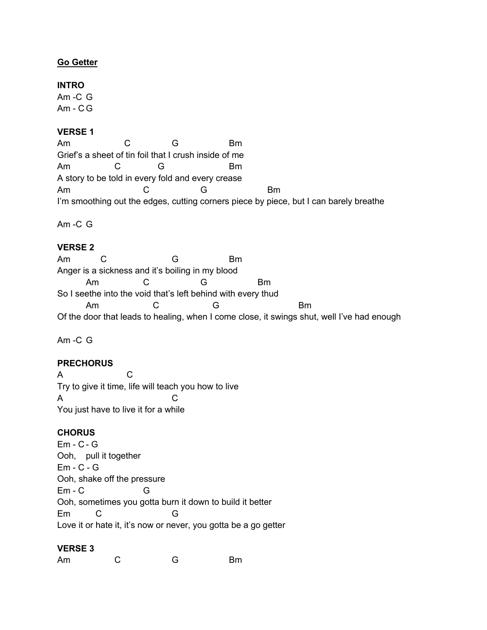## **Go Getter**

### **INTRO**

Am -C G  $Am - CG$ 

### **VERSE 1**

Am C G Bm Grief's a sheet of tin foil that I crush inside of me Am C G Bm A story to be told in every fold and every crease Am C G Bm I'm smoothing out the edges, cutting corners piece by piece, but I can barely breathe

Am -C G

### **VERSE 2**

Am C G Bm Anger is a sickness and it's boiling in my blood Am C G Bm So I seethe into the void that's left behind with every thud Am C G Bm Of the door that leads to healing, when I come close, it swings shut, well I've had enough

Am -C G

## **PRECHORUS**

A C Try to give it time, life will teach you how to live A C You just have to live it for a while

### **CHORUS**

Em - C - G Ooh, pull it together Em - C - G Ooh, shake off the pressure Em - C G Ooh, sometimes you gotta burn it down to build it better Em C G Love it or hate it, it's now or never, you gotta be a go getter

#### **VERSE 3**

Am C G Bm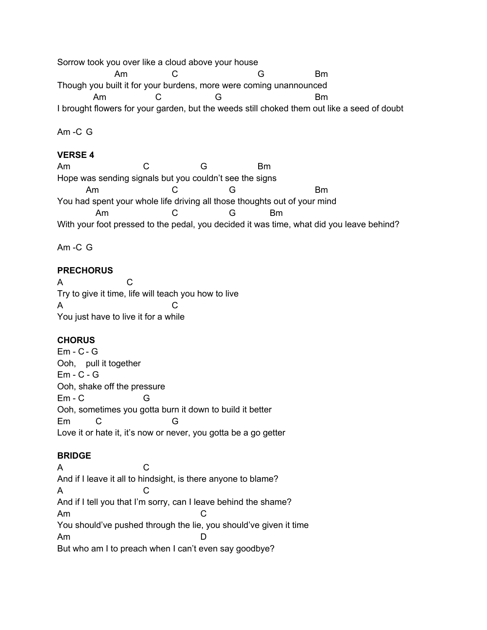Sorrow took you over like a cloud above your house Am C G Bm Though you built it for your burdens, more were coming unannounced Am C G Bm I brought flowers for your garden, but the weeds still choked them out like a seed of doubt

Am -C G

## **VERSE 4**

Am C G Bm Hope was sending signals but you couldn't see the signs Am C G Bm You had spent your whole life driving all those thoughts out of your mind Am C G Bm With your foot pressed to the pedal, you decided it was time, what did you leave behind?

Am -C G

# **PRECHORUS**

A C Try to give it time, life will teach you how to live A C You just have to live it for a while

# **CHORUS**

Em - C - G Ooh, pull it together Em - C - G Ooh, shake off the pressure Em - C G Ooh, sometimes you gotta burn it down to build it better Em C G Love it or hate it, it's now or never, you gotta be a go getter

# **BRIDGE**

A C And if I leave it all to hindsight, is there anyone to blame? A C And if I tell you that I'm sorry, can I leave behind the shame? Am C You should've pushed through the lie, you should've given it time Am D But who am I to preach when I can't even say goodbye?